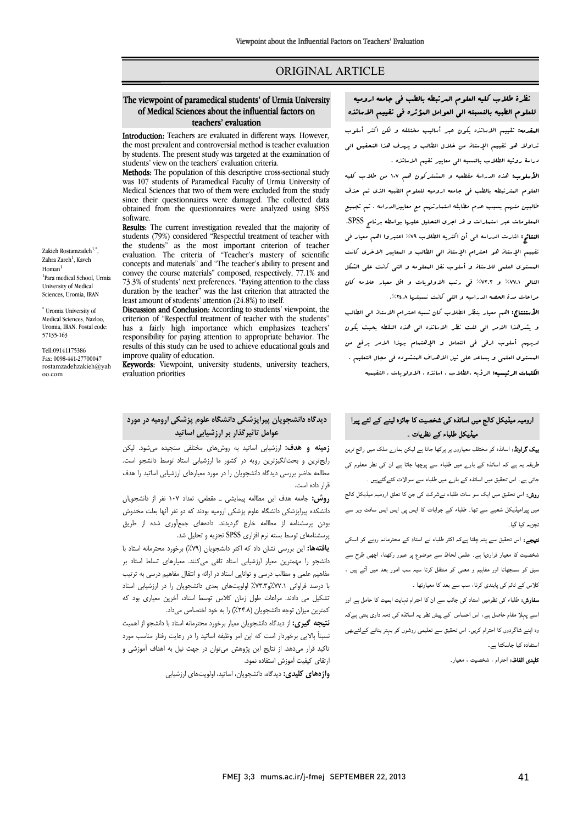## ORIGINAL ARTICLE

#### of Medical Sciences about the influential factors on teachers' evaluationThe viewpoint of paramedical students' of Urmia University

Ī 

Introduction: Teachers are evaluated in different ways. However, the most prevalent and controversial method is teacher evaluation<br>by students. The greenest study was terested at the examination of students' view on the teachers' evaluation criteria. by students. The present study was targeted at the examination of

**Methods:** The population of this descriptive cross-sectional study<br>was 107 students of Paramedical Faculty of Urmia University of Medical Sciences that two of them were excluded from the study since their questionnaires were damaged. The conected data obtained from the questionnaires were analyzed using SPSS was 107 students of Paramedical Faculty of Urmia University of since their questionnaires were damaged. The collected data software.

software.<br>**Results:** The current investigation revealed that the majority of students (79%) considered "Respectful treatment of teacher with the students" as the most important criterion of teacher concepts and materials" and "The teacher's ability to present and convey the course materials" composed, respectively, 77.1% and<br>73.3% of students' port approaces, "Paring attention to the class duration by the teacher" was the last criterion that attracted the least amount of students' attention (24.8%) to itself.<br>Discussion and Conclusion: According to students' evaluation. The criteria of "Teacher's mastery of scientific 73.3% of students' next preferences. "Paying attention to the class

 criterion of "Respectful treatment of teacher with the students" responsibility fingly importance which emphasizes teachers<br>responsibility for paying attention to appropriate behavior. The results of this study can be used to achieve educational goals and Discussion and Conclusion: According to students' viewpoint, the has a fairly high importance which emphasizes teachers' improve quality of education.

**Keywords:** Viewpoint, university students, university teachers, evaluation priorities

#### Zakieh Rostamzadeh<sup>1,\*</sup>. Zahra Zareh<sup>1</sup>, Kaveh Homan<sup>1</sup> 1 Para medical School, Urmia University of Medical Sciences, Uromia, IRAN

\* Uromia University of Medical Sciences, Nazloo, Uromia, IRAN. Postal code: 57135-163

Tell:09141175386 Fax: 0098-441-27700047 rostamzadehzakieh@yah oo.com

# ارومیہ میڈیکل کالج میں اساتذہ کی شخصیت کا جائزہ لینے کے لئے پیرا

ا**لأستنتاج:** اهم معیار بنظر الطلاب کان نسبه احترام الاستاذ ال<sub>ی</sub> الطالب<br>. و یشرهذا الامر الی لفت نظر الاساتذه الی هذه النقطه بحیث یکون لدیهم أسلوب ارقی فی التعامل و الإهتمام بهذا الامر یرفع من المستوي العلمی و یساعد علی نیل الاهداف المنشوده فی مجال التعلیم . ا**لکلمات الرئیسیه:** الرؤیه .الطلاب ، اساتذه ، الاولویات . التقیمیه

میڈیکل طلباء کے نظریات ۔

Ī  $\overline{a}$ 

.<br>.

نظرة طلاب کلیه العلوم المرتبطه بالطب فی جامعه ارومیه

 للعلوم الطبیه بالنسبته الی العوامل المؤثره فی تقییم الاساتذه المقدمه: تقییم الاساتذه یکون عبر أسالیب مختلفه و لکن اکثر أسلوب . تداولا هو تقییم الإستاذ من خلال الطالب و یهدف هذا التحقیق الی

 الأسلوب: هذه الدراسۀ مقطعیه و المشترکون هم 107 من طلاب کلیه العلوم المترتبطه بالطب فی جامعه ارومیه للعلوم الطبیه الذي تم حذف طالبین منهم بسبب عدم مطابقه استمارتهم مع معاییرالدراسه . تم تجمیع المعلومات عبر استمارات و قد اجري التحلیل علیها بواسطه برنامج SPSS. النتائج: اشارت الدراسه الی أن اکثریه الطلاب %79 اعتبروا اهم معیار فی تقییم الإستاذ هو احترام الإستاذ الی الطالب و المعاییر الاخري کانت المستوي العلمی للاستاذ و أسلوب نقل المعلومه و التی کانت علی الشکل التالی %77.1 و %73.3 فی رتب الاولویات و اقل معیار علامه کان

دراسۀ روئیه الطلاب بالنسبه الی معاییر تقیم الاساتذه .

س<br>مراعات مدة الحصه الدراسیه و التی کانت نسبتها ۲۰۰۸%.

**یک گراونڈ:** اساتذہ کو مختلف معیاروں پر پرکھا جاتا ہے لیکن ہمارے ملک میں رائج ترین ۔<br>طریقہ یہ ہے کہ اساتذہ کے بار<sub>ے</sub> میں طلباء سے پوچھا جاتا ہے ان کی نظر معلوم کی ۔<br>باتی ہے۔ اس تحقیق میں اساتذہ کے بار<sub>ے</sub> میں طلباء سے سوالات کئےگئےہیں ۔ ر**وش:** اس تحقیق میں ایک سو سات طلباء نےشرکت کی جن کا تعلق ارومیہ میڈیکل کالج

۔<br>میں پیرامیڈیکل شعبے سے تھا۔ طلباء کے جوابات کا ایس پی ایس ایس سافٹ ویر سے تجزیہ کیا گیا۔

 : اس ا ء اد رو ا بہت ہے ۔ اس سے سے پہلے کا اس سے سے سے سے سے اس کر رہے ہیں۔<br>شخصیت کا معیار قراردیا ہے۔ علمی لحاظ سے موضوع پر عبور رکھنا، اچھی طرح سے ÷, سبق کو سمجھانا اور مفاہیم و معنی کو منتقل کرنا سیہ سب امور بعد میں آتے ہیں ،<br>. کلاس کے ٹائم کی پابندی کرنا، سب سے بعد کا معیارتھا ۔<br>۔

**سفارش:** طلباء کی نظرمیں استاد کی جانب سے ان کا احترام نہایت اہمیت کا حامل ہے اور<br>۔ اسے پہلا مقام حاصل ہے، اس احساس کے پیش نظر یہ اساتذہ کی ذمہ داری بنتی ہےکہ وہ اپنے شاگردوں کا احترام کریں۔ اس تحقیق سے تعلیمی روشوں کو بہتر بنانے کےلئےبھی ستفادہ کیا جاسکتا ہے۔

**کلیدی الفاظ:** احترام ، شخصیت ، معیار ـ

## **دیدگاه دانشجویان پیراپزشکی دانشگاه علوم پزشکی ارومیه در مورد عوامل تاثیرگذار بر ارزشیابی اساتید**

 **زمینه و هدف:** ارزشیابی اساتید به روشهاي مختلفی سنجیده میشود. لیکن رایجترین و بحثانگیزترین رویه در کشور ما ارزشیابی استاد توسط دانشجو است. مطالعه حاضر بررسی دیدگاه دانشجویان را در مورد معیارهاي ارزشیابی اساتید را هدف قرار داده است.

**روس.** جامعه هدت این مصابعه پیمایسی - منصفی، بعداد ۱۰۰ نفر از دانسجویان<br>دانشکده پیراپزشکی دانشگاه علوم پزشکی ارومیه بودند که دو نفر آنها بعلت مخدوش بودن پرسشنامه از مطالعه خارج گردیدند. دادههاي جمعآوري شده از طریق پرسشنامهاي توسط بسته نرم افزاري SPSS تجزیه و تحلیل شد. **روش:** جامعه هدف این مطالعه پیمایشی ـ مقطعی، تعداد 107 نفر از دانشجویان

 **یافتهها:** این بررسی نشان داد که اکثر دانشجویان (%79) برخورد محترمانه استاد با دانشجو را مهمترین معیار ارزشیابی استاد تلقی میکنند. معیارهاي تسلط استاد بر مفاهیم علمی و مطالب درسی و توانایی استاد در ارائه و انتقال مفاهیم درسی به ترتیب با درصد فراوانی ۷۷.۱٪و۷۳.۳٪ اولویتهای بعدی دانشجویان را در ارزشیابی استاد<br>-سمیں می دادند. مراحات صول زمان تارین توسط اساد، اخرین<br>کمترین میزان توجه دانشجویان (۲۴.۸٪) را به خود اختصاص میداد. تشکیل می دادند. مراعات طول زمان کلاس توسط استاد، آخرین معیاري بود که

 **نتیجه گیري:** از دیدگاه دانشجویان معیار برخورد محترمانه استاد با دانشجو از اهمیت نسبتاً بالایی برخوردار است که این امر وظیفه اساتید را در رعایت رفتار مناسب مورد تاکید قرار میدهد. از نتایج این پژوهش میتوان در جهت نیل به اهداف آموزشی و ارتقاي کیفیت آموزش استفاده نمود.

**واژههاي کلیدي:** دیدگاه، دانشجویان، اساتید، اولویتهاي ارزشیابی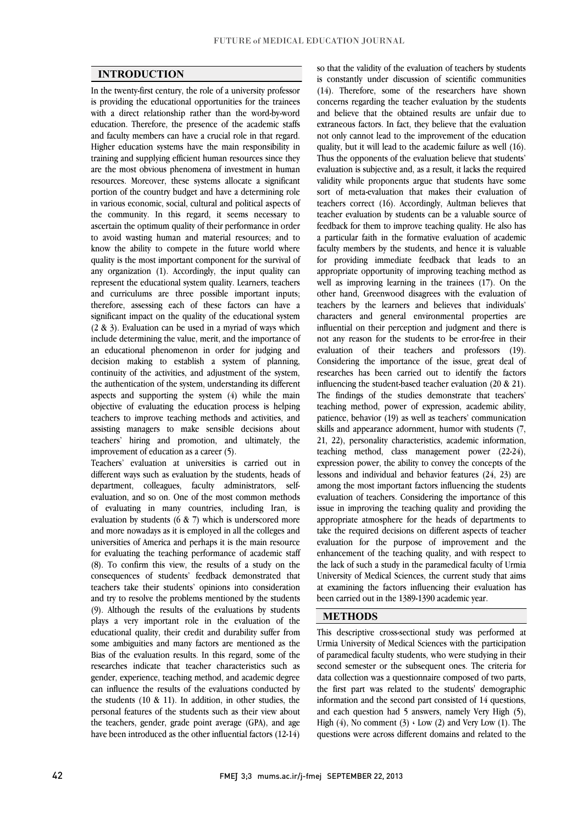$\overline{a}$  $\overline{a}$ 

### **INTRODUCTION**

 In the twenty-first century, the role of a university professor is providing the educational opportunities for the trainees education. Therefore, the presence of the academic staffs and faculty members can have a crucial role in that regard. Higher education systems have the main responsibility in training and supplying efficient human resources since they resources. Moreover, these systems allocate a significant portion of the country budget and have a determining role in various economic, social, cultural and political aspects of the community. In this regard, it seems necessary to to avoid wasting human and material resources; and to know the ability to compete in the future world where quality is the most important component for the survival of any organization (1). Accordingly, the input quality can and curriculums are three possible important inputs; therefore, assessing each of these factors can have a significant impact on the quality of the educational system  $(2 \alpha)$ . Evaluation can be used in a highlad of ways which<br>include determining the value, merit, and the importance of an educational phenomenon in order for judging and decision making to establish a system of planning, continuity of the activities, and adjustment of the system, aspects and supporting the system (4) while the main objective of evaluating the education process is helping teachers to improve teaching methods and activities, and assisting managers to make sensible decisions about teachers' hiring and promotion, and ultimately, the improvement of education as a career  $(5)$ with a direct relationship rather than the word-by-word are the most obvious phenomena of investment in human ascertain the optimum quality of their performance in order represent the educational system quality. Learners, teachers (2 & 3). Evaluation can be used in a myriad of ways which the authentication of the system, understanding its different improvement of education as a career (5).

 Teachers' evaluation at universities is carried out in different ways such as evaluation by the students, heads of department, colleagues, faculty administrators, self- of evaluating in many countries, including Iran, is evaluation by students (6 & 7) which is underscored more and more nowadays as it is employed in all the colleges and universities of America and perhaps it is the main resource<br>for evaluating the teaching performance of academic staff (8). To confirm this view, the results of a study on the consequences of students' feedback demonstrated that teachers take their students' opinions into consideration (9). Although the results of the evaluations by students plays a very important role in the evaluation of the educational quality, their credit and durability suffer from some ambiguities and many factors are mentioned as the researches indicate that teacher characteristics such as gender, experience, teaching method, and academic degree can influence the results of the evaluations conducted by the students (10 & 11). In addition, in other studies, the the teachers, gender, grade point average (GPA), and age have been introduced as the other influential factors (12-14) evaluation, and so on. One of the most common methods universities of America and perhaps it is the main resource and try to resolve the problems mentioned by the students Bias of the evaluation results. In this regard, some of the personal features of the students such as their view about

 is constantly under discussion of scientific communities (14). Therefore, some of the researchers have shown concerns regarding the teacher evaluation by the students extraneous factors. In fact, they believe that the evaluation not only cannot lead to the improvement of the education quality, but it will lead to the academic failure as well (16). Thus the opponents of the evaluation believe that students' validity while proponents argue that students have some sort of meta-evaluation that makes their evaluation of teachers correct (16). Accordingly, Aultman believes that feedback for them to improve teaching quality. He also has a particular faith in the formative evaluation of academic faculty members by the students, and hence it is valuable for providing immediate feedback that leads to an well as improving learning in the trainees (17). On the other hand, Greenwood disagrees with the evaluation of teachers by the learners and believes that individuals' characters and general environmental properties are nnot any reason for the students to be error-free in their evaluation of their teachers and professors (19). Considering the importance of the issue, great deal of researches has been carried out to identify the factors The findings of the studies demonstrate that teachers' teaching method, power of expression, academic ability, patience, behavior (19) as well as teachers' communication skills and appearance adornment, humor with students (7, 23, 23) teaching method, class management power (22-24), expression power, the ability to convey the concepts of the lessons and individual and behavior features (24, 23) are among the most important factors inhuencing the students<br>evaluation of teachers. Considering the importance of this issue in improving the teaching quality and providing the appropriate atmosphere for the heads of departments to take the required decisions on different aspects of teacher enhancement of the teaching quality, and with respect to the lack of such a study in the paramedical faculty of Urmia University of Medical Sciences, the current study that aims at examining the factors influencing their evaluation has  $\overline{a}$ so that the validity of the evaluation of teachers by students and believe that the obtained results are unfair due to evaluation is subjective and, as a result, it lacks the required teacher evaluation by students can be a valuable source of appropriate opportunity of improving teaching method as influential on their perception and judgment and there is influencing the student-based teacher evaluation (20 & 21). 21, 22), personality characteristics, academic information, among the most important factors influencing the students evaluation for the purpose of improvement and the been carried out in the 1389-1390 academic year.

#### **METHODS**

 This descriptive cross-sectional study was performed at Urmia University of Medical Sciences with the participation second semester or the subsequent ones. The criteria for data collection was a questionnaire composed of two parts, the first part was related to the students' demographic information and the second part consisted of  $14$  questions, High (4), No comment (3)  $\cdot$  Low (2) and Very Low (1). The questions were across different domains and related to the of paramedical faculty students, who were studying in their and each question had 5 answers, namely Very High (5),

 $\overline{a}$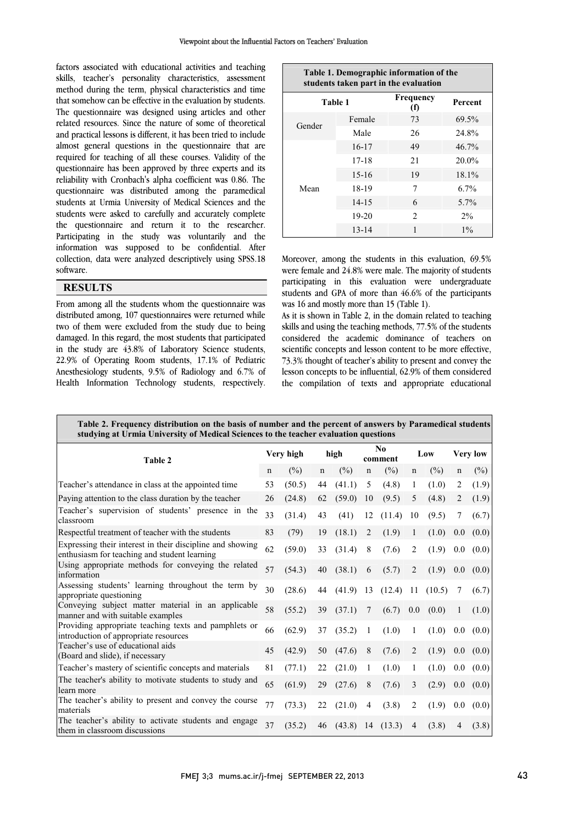$\overline{a}$ 

 factors associated with educational activities and teaching skills, teacher's personality characteristics, assessment method during the term, physical characteristics and time that somehow can be effective in the evaluation by students. related resources. Since the nature of some of theoretical and practical lessons is different, it has been tried to include almost general questions in the questionnaire that are questionnaire has been approved by three experts and its reliability with Cronbach's alpha coefficient was 0.86. The questionnaire was distributed among the paramedical students at Urmia University of Medical Sciences and the statents were assed to carefully and accurately complete<br>the questionnaire and return it to the researcher. Participating in the study was voluntarily and the information was supposed to be confidential. After collection, data were analyzed descriptively using SPSS.18  $\overline{a}$ The questionnaire was designed using articles and other required for teaching of all these courses. Validity of the students were asked to carefully and accurately complete software.

#### **RESULTS**

 From among all the students whom the questionnaire was distributed among, 107 questionnaires were returned while damaged. In this regard, the most students that participated in the study are 43.8% of Laboratory Science students, 22.9% of Operating Room students, 17.1% of Pediatric Anesthesiology students, 9.5% of Radiology and 6.7% of Health Information Technology students, respectively. two of them were excluded from the study due to being

| Table 1. Demographic information of the<br>students taken part in the evaluation |           |                  |          |  |  |  |  |  |  |  |
|----------------------------------------------------------------------------------|-----------|------------------|----------|--|--|--|--|--|--|--|
| Table 1                                                                          |           | Frequency<br>(f) | Percent  |  |  |  |  |  |  |  |
| Gender                                                                           | Female    | 73               | 69.5%    |  |  |  |  |  |  |  |
|                                                                                  | Male      | 26               | 24.8%    |  |  |  |  |  |  |  |
| Mean                                                                             | $16-17$   | 49               | $46.7\%$ |  |  |  |  |  |  |  |
|                                                                                  | $17 - 18$ | 21               | $20.0\%$ |  |  |  |  |  |  |  |
|                                                                                  | $15 - 16$ | 19               | $18.1\%$ |  |  |  |  |  |  |  |
|                                                                                  | 18-19     | 7                | $6.7\%$  |  |  |  |  |  |  |  |
|                                                                                  | $14 - 15$ | 6                | $5.7\%$  |  |  |  |  |  |  |  |
|                                                                                  | $19-20$   | $\mathfrak{D}$   | $2\%$    |  |  |  |  |  |  |  |
|                                                                                  | $13 - 14$ | 1                | $1\%$    |  |  |  |  |  |  |  |

Moreover, among the students in this evaluation, 69.5% participating in this evaluation were undergraduate students and GPA of more than 46.6% of the participants were female and 24.8% were male. The majority of students was 16 and mostly more than 15 (Table 1).

As it is shown in Table 2, in the domain related to teaching considered the academic dominance of teachers on scientific concepts and lesson content to be more effective, 73.3% thought of teacher's ability to present and convey the ֡֡֡֝ the compilation of texts and appropriate educational skills and using the teaching methods, 77.5% of the students lesson concepts to be influential, 62.9% of them considered

| Table 2. Frequency distribution on the basis of number and the percent of answers by Paramedical students<br>studying at Urmia University of Medical Sciences to the teacher evaluation questions |           |        |             |        |                |        |                |        |                 |        |  |  |  |
|---------------------------------------------------------------------------------------------------------------------------------------------------------------------------------------------------|-----------|--------|-------------|--------|----------------|--------|----------------|--------|-----------------|--------|--|--|--|
| Table 2                                                                                                                                                                                           | Very high |        | high        |        | No.<br>comment |        | Low            |        | <b>Very low</b> |        |  |  |  |
|                                                                                                                                                                                                   |           | $(\%)$ | $\mathbf n$ | (%)    | $\mathbf n$    | (%)    | n              | $(\%)$ | n               | $(\%)$ |  |  |  |
| Teacher's attendance in class at the appointed time                                                                                                                                               | 53        | (50.5) | 44          | (41.1) | 5              | (4.8)  | 1              | (1.0)  | 2               | (1.9)  |  |  |  |
| Paying attention to the class duration by the teacher                                                                                                                                             | 26        | (24.8) | 62          | (59.0) | 10             | (9.5)  | 5              | (4.8)  | 2               | (1.9)  |  |  |  |
| Teacher's supervision of students' presence in the<br>classroom                                                                                                                                   | 33        | (31.4) | 43          | (41)   | 12             | (11.4) | 10             | (9.5)  | 7               | (6.7)  |  |  |  |
| Respectful treatment of teacher with the students                                                                                                                                                 | 83        | (79)   | 19          | (18.1) | $\overline{2}$ | (1.9)  | 1              | (1.0)  | $0.0\,$         | (0.0)  |  |  |  |
| Expressing their interest in their discipline and showing<br>enthusiasm for teaching and student learning                                                                                         | 62        | (59.0) | 33          | (31.4) | 8              | (7.6)  | 2              | (1.9)  | $0.0\,$         | (0.0)  |  |  |  |
| Using appropriate methods for conveying the related<br>information                                                                                                                                | 57        | (54.3) | 40          | (38.1) | 6              | (5.7)  | $\overline{2}$ | (1.9)  | 0.0             | (0.0)  |  |  |  |
| Assessing students' learning throughout the term by<br>appropriate questioning                                                                                                                    | 30        | (28.6) | 44          | (41.9) | 13             | (12.4) | 11             | (10.5) | 7               | (6.7)  |  |  |  |
| Conveying subject matter material in an applicable<br>manner and with suitable examples                                                                                                           | 58        | (55.2) | 39          | (37.1) | 7              | (6.7)  | 0.0            | (0.0)  | 1               | (1.0)  |  |  |  |
| Providing appropriate teaching texts and pamphlets or<br>introduction of appropriate resources                                                                                                    | 66        | (62.9) | 37          | (35.2) | 1              | (1.0)  | 1              | (1.0)  | 0.0             | (0.0)  |  |  |  |
| Teacher's use of educational aids<br>(Board and slide), if necessary                                                                                                                              | 45        | (42.9) | 50          | (47.6) | 8              | (7.6)  | 2              | (1.9)  | 0.0             | (0.0)  |  |  |  |
| Teacher's mastery of scientific concepts and materials                                                                                                                                            | 81        | (77.1) | 22          | (21.0) | 1              | (1.0)  | 1              | (1.0)  | 0.0             | (0.0)  |  |  |  |
| The teacher's ability to motivate students to study and<br>learn more                                                                                                                             | 65        | (61.9) | 29          | (27.6) | 8              | (7.6)  | 3              | (2.9)  | $0.0\,$         | (0.0)  |  |  |  |
| The teacher's ability to present and convey the course<br>materials                                                                                                                               | 77        | (73.3) | 22          | (21.0) | $\overline{4}$ | (3.8)  | $\overline{2}$ | (1.9)  | $0.0\,$         | (0.0)  |  |  |  |
| The teacher's ability to activate students and engage<br>them in classroom discussions                                                                                                            | 37        | (35.2) | 46          | (43.8) | 14             | (13.3) | $\overline{4}$ | (3.8)  | 4               | (3.8)  |  |  |  |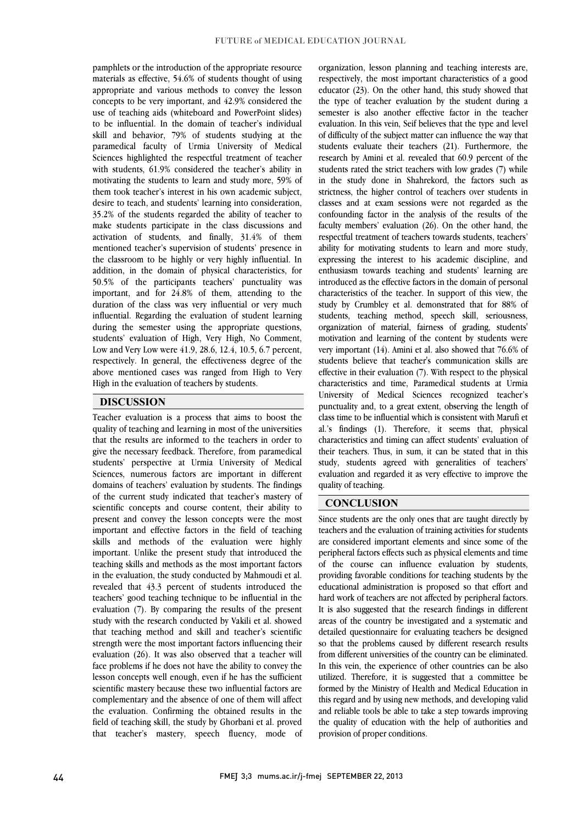pamphlets or the introduction of the appropriate resource materials as effective, 54.6% of students thought of using appropriate and various methods to convey the lesson concepts to be very important, and 42.9% considered the to be influential. In the domain of teacher's individual skill and behavior, 79% of students studying at the paramedical faculty of Urmia University of Medical Sciences highlighted the respectful treatment of teacher man statents, 31,9% estistated the teacher 3 assity in<br>motivating the students to learn and study more, 59% of them took teacher's interest in his own academic subject, desire to teach, and students' learning into consideration, make students participate in the class discussions and activation of students, and finally, 31.4% of them mentioned teacher's supervision of students' presence in the classroom to be highly or very highly influential. In 50.5% of the participants teachers' punctuality was important, and for  $24.8\%$  of them, attending to the duration of the class was very influential or very much influential. Regarding the evaluation of student learning students' evaluation of High, Very High, No Comment, Low and Very Low were 41.9, 28.6, 12.4, 10.5, 6.7 percent, respectively. In general, the effectiveness degree of the above mentioned cases was ranged from High to Very  $\overline{a}$ use of teaching aids (whiteboard and PowerPoint slides) with students, 61.9% considered the teacher's ability in 35.2% of the students regarded the ability of teacher to addition, in the domain of physical characteristics, for during the semester using the appropriate questions, High in the evaluation of teachers by students.

### **DISCUSSION**

 Teacher evaluation is a process that aims to boost the quality of teaching and learning in most of the universities give the necessary feedback. Therefore, from paramedical students' perspective at Urmia University of Medical Sciences, numerous factors are important in different domains of teachers' evaluation by students. The findings present and convey the lesson concepts were the most important and effective factors in the field of teaching important. Unlike the present study that introduced the teaching skills and methods as the most important factors in the evaluation, the study conducted by Mahmoudi et al. revealed that 43.3 percent of students introduced the evaluation (7). By comparing the results of the present study with the research conducted by Vakili et al. showed that teaching method and skill and teacher's scientific strength were the most important factors influencing their face problems if he does not have the ability to convey the lesson concepts well enough, even if he has the sufficient scientific mastery because these two influential factors are complementary and the absence of one of them will affect field of teaching skill, the study by Ghorbani et al. proved that teacher's mastery, speech fluency, mode of that the results are informed to the teachers in order to of the current study indicated that teacher's mastery of scientific concepts and course content, their ability to skills and methods of the evaluation were highly teachers' good teaching technique to be influential in the evaluation (26). It was also observed that a teacher will the evaluation. Confirming the obtained results in the  organization, lesson planning and teaching interests are, respectively, the most important characteristics of a good educator (23). On the other hand, this study showed that the type of teacher evaluation by the student during a evaluation. In this vein, Seif believes that the type and level of difficulty of the subject matter can influence the way that students evaluate their teachers (21). Furthermore, the research by Amini et al. revealed that 60.9 percent of the in the study done in Shahrekord, the factors such as strictness, the higher control of teachers over students in classes and at exam sessions were not regarded as the faculty members' evaluation (26). On the other hand, the respectful treatment of teachers towards students, teachers' ability for motivating students to learn and more study, expressing the interest to his academic discipline, and introduced as the effective factors in the domain of personal characteristics of the teacher. In support of this view, the study by Crumbley et al. demonstrated that for 88% of students, teaching method, speech skill, seriousness, motivation and learning of the content by students were very important (14). Amini et al. also showed that 76.6% of students believe that teacher's communication skills are effective in their evaluation (7). With respect to the physical University of Medical Sciences recognized teacher's punctuality and, to a great extent, observing the length of class time to be influential which is consistent with Marufi et al.'s findings (1). Therefore, it seems that, physical their teachers. Thus, in sum, it can be stated that in this study, students agreed with generalities of teachers' evaluation and regarded it as very effective to improve the  $\overline{a}$ semester is also another effective factor in the teacher students rated the strict teachers with low grades (7) while confounding factor in the analysis of the results of the enthusiasm towards teaching and students' learning are organization of material, fairness of grading, students' characteristics and time, Paramedical students at Urmia characteristics and timing can affect students' evaluation of quality of teaching.

#### **CONCLUSION**

 $\overline{a}$ 

 Since students are the only ones that are taught directly by teachers and the evaluation of training activities for students peripheral factors effects such as physical elements and time of the course can influence evaluation by students, providing favorable conditions for teaching students by the educational administration is proposed so that effort and It is also suggested that the research findings in different areas of the country be investigated and a systematic and detailed questionnaire for evaluating teachers be designed so that the problems caused by different research results In this vein, the experience of other countries can be also utilized. Therefore, it is suggested that a committee be formed by the Ministry of Health and Medical Education in this regard and by using new methods, and developing valid the quality of education with the help of authorities and are considered important elements and since some of the hard work of teachers are not affected by peripheral factors. from different universities of the country can be eliminated. and reliable tools be able to take a step towards improving provision of proper conditions.